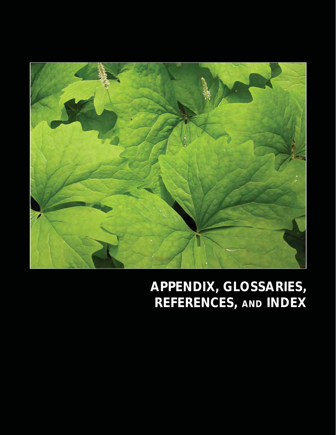

## **APPENDIX, GLOSSARIES, REFERENCES, AND INDEX**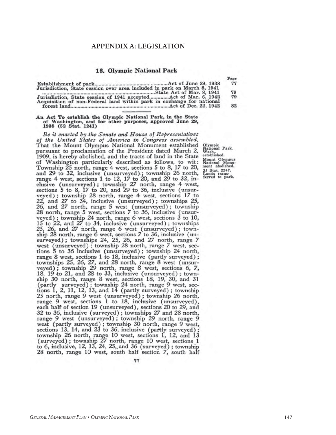#### **APPENDIX A: LEGISLATION**

#### 16. Olympic National Park

|                                                                         | Page |
|-------------------------------------------------------------------------|------|
| Jurisdiction, State cession over area included in park on March 8, 1941 | 77   |
|                                                                         | 79   |
| Jurisdiction, State cession of 1941 accepted Act of Mar. 6, 1942        | 79   |
| Acquisition of non-Federal land within park in exchange for national    | 82   |

#### An Act To establish the Olympic National Park, in the State of Washington, and for other purposes, approved June 29,<br>1938 (52 Stat. 1241)

Be it enacted by the Senate and House of Representatives of the United States of America in Congress assembled, That the Mount Olympus National Monument established pursuant to proclamation of the President dated March 2, 1909, is hereby abolished, and the tracts of land in the State of Washington particularly described as follows, to wit: Township 25 north, range 4 west, sections 5 to 8, 17 to 20, and 29 to 32, inclusive (unsurveyed); township 26 north, range 4 west, sections 1 to 12, 17 to 20, and 29 to 32, inclusive (unsurveyed); township 27 north, range 4 west, sections 5 to 8, 17 to 20, and 29 to 36, inclusive (unsurveyed); township 28 north, range 4 west, sections 17 to 22, and 27 to 34, inclusive (unsurveyed); townships 25, 26, and 27 north, range 5 west (unsurveyed); township 28 north, range 5 west, sections 7 to 36, inclusive (unsurveyed); township 24 north, range 6 west, sections  $3$  to 10, 15 to 22, and 27 to 34, inclusive (unsurveyed); townships 15 to  $22$ , and 27 to 34, inclusive (unsurveyed); townships 25, 26, and 27 north, range 6 west (unsurveyed); township 28 north, range 6 west, sections 7 to 36, inclusive (unsurveyed); townships 24, 25, 26, and 27 north, r tions 5 to 36 inclusive (unsurveyed); township 24 north, range 8 west, sections 1 to 18, inclusive (partly surveyed); townships 25, 26, 27, and 28 north, range 8 west (unsur-<br>veyed); township 29 north, range 8 west, sections 6, 7, 18, 19 to 21, and 28 to 33, inclusive (unsurveyed); township 30 north, range 8 west, sections 18, 19, 30, and 31 (partly surveyed); township 24 north, range 9 west, sections 1, 2, 11, 12, 13, and 14 (partly surveyed); township 25 north, range 9 west (unsurveyed); township 26 north, range 9 west, sections 1 to 18, inclusive (unsurveyed), each half of section 19 (unsurveyed), sections 20 to 29, and 32 to 36, inclusive (surveyed); townships 27 and 28 north, range 9 west (unsurveyed); township 29 north, range 9 west (partly surveyed); township 30 north, range 9 west, sections 13, 14, and 23 to 36, inclusive (partly surveyed); township 26 north, range 10 west, sections 1, 12, and 13 (surveyed); township  $27$  north, range 10 west, sections 1 to 6, inclusive, 12, 13, 24, 25, and 36 (surveyed); township 28 north, range 10 west, south half section 7, south half

77

Olympic<br>National Park,<br>Wash..<br>established. Mount Olympus<br>National Monu-<br>ment abolished. 35 Stat. 2247.<br>Lands trans-<br>ferred to park.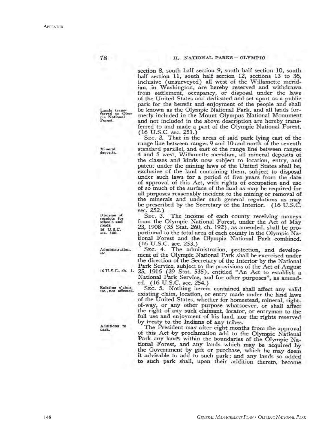#### II. NATIONAL PARKS - OLYMPIC

section 8, south half section 9, south half section 10, south half section 11, south half section 12, sections 13 to 36, inclusive (unsurveyed) all west of the Willamette meridian, in Washington, are hereby reserved and withdrawn<br>from settlement, occupancy, or disposal under the laws of the United States and dedicated and set apart as a public park for the benefit and enjoyment of the people and shall be known as the Olympic National Park, and all lands formerly included in the Mount Olympus National Monument and not included in the above description are hereby transferred to and made a part of the Olympic National Forest. (16 U.S.C. sec. 251.)<br>SEC. 2. That in the areas of said park lying east of the

range line between ranges 9 and 10 and north of the seventh standard parallel, and east of the range line between ranges 4 and 5 west, Willamette meridian, all mineral deposits of the classes and kinds now subject to location, entry, and patent under the mining laws of the United States shall be, exclusive of the land containing them, subject to disposal under such laws for a period of five years from the date of approval of this Act, with rights of occupation and use of so much of the surface of the land as may be required for all purposes reasonably incident to the mining or removal of the minerals and under such general regulations as may be prescribed by the Secretary of the Interior. (16 U.S.C. sec. 252.)

SEC. 3. The income of each county receiving moneys from the Olympic National Forest, under the Act of May 23, 1908 (35 Stat. 260, ch. 192), as amended, shall be proportional to the total area of each county in the Olympic National Forest and the Olympic National Park combined.

(16 U.S.C. sec. 253.)<br>SEC. 4. The administration, protection, and development of the Olympic National Park shall be exercised under the direction of the Secretary of the Interior by the National Park Service, subject to the provisions of the Act of August 25, 1916 (39 Stat. 535), entitled "An Act to establish a National Park Service, and for other purposes", as amended. (16 U.S.C. sec. 254.)

SEC. 5. Nothing herein contained shall affect any valid existing claim, location, or entry made under the land laws of the United States, whether for homestead, mineral, rightof-way, or any other purpose whatsoever, or shall affect the right of any such claimant, locator, or entryman to the full use and enjoyment of his land, nor the rights reserved by treaty to the Indians of any tribes.

The President may after eight months from the approval of this Act by proclamation add to the Olympic National Park any lands within the boundaries of the Olympic National Forest, and any lands which may be acquired by the Government by gift or purchase, which he may deem<br>it advisable to add to such park; and any lands so added to such park shall, upon their addition thereto, become

Mineral deposits.

Lands trans-<br>ferred to Olympic National<br>Forest.

78

Division of<br>receipts for<br>schools and roads. 16 U.S.C. sec. 500.

Administration, etc.

16 U.S.C., ch. 1.

Existing c'aims,<br>etc., not affected.

Additions to park.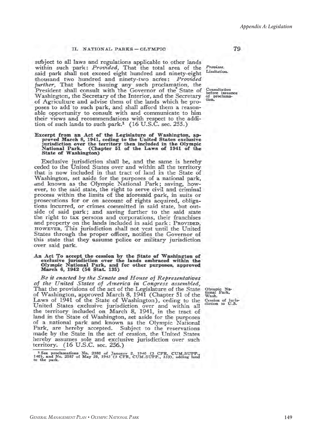#### II. NATIONAL PARKS - OLYMPIC

subject to all laws and regulations applicable to other lands within such park: *Provided*, That the total area of the said park shall not exceed eight hundred and ninety-eight thousand two hundred and ninety-two acres: Provided further, That before issuing any such proclamation, the President shall consult with the Governor of the State of Washington, the Secretary of the Interior, and the Secretary of Agriculture and advise them of the lands which he proposes to add to such park, and shall afford them a reasonable opportunity to consult with and communicate to him their views and recommendations with respect to the addition of such lands to such park,<sup>1</sup> (16 U.S.C. sec. 255.)

## Excerpt from an Act of the Legislature of Washington, ap-<br>proved March 8, 1941, ceding to the United States exclusive<br>jurisdiction over the territory then included in the Olympic<br>National Park. (Chapter 51 of the Laws of 1 National Park. (Cha<br>State of Washington)

Exclusive jurisdiction shall be, and the same is hereby ceded to the United States over and within all the territory that is now included in that tract of land in the State of Washington, set aside for the purposes of a national park, and known as the Olympic National Park; saving, however, to the said state, the right to serve civil and criminal process within the limits of the aforesaid park, in suits or prosecutions for or on account of rights acquired, obligations incurred, or crimes committed in said state, but outside of said park; and saving further to the said state the right to tax persons and corporations, their franchises and property on the lands included in said park: PROVIDED, HOWEVER, This jurisdiction shall not vest until the United<br>States through the proper officer, notifies the Governor of this state that they assume police or military jurisdiction over said park.

# An Act To accept the cession by the State of Washington of exclusive jurisdiction over the lands embraced within the Olympic National Park, and for other purposes, approved March 6, 1942 (56 Stat. 135)

Be it enacted by the Senate and House of Representatives of the United States of America in Congress assembled, That the provisions of the act of the Legislature of the State of Washington, approved March 8, 1941 (Chapter 51 of the Laws of 1941 of the State of Washington), ceding to the United States exclusive jurisdiction over and within all the territory included on March 8, 1941, in the tract of land in the State of Washington, set aside for the purposes of a national park and known as the Olympic National Park, are hereby accepted. Subject to the reservations made by the State in the act of cession, the United States hereby assumes sole and exclusive jurisdiction over such territory. (16 U.S.C. sec. 256.)

Olympic Na<br>tional Park,<br>Wash.  $Na-$ Cession of juris-<br>diction to U.S.

Provisos. Limitation. 79

Consultation<br>before issuance<br>of proclamation.

<sup>&</sup>lt;sup>1</sup> See proclamations No. 2380 of January 2, 1940 (3 CFR, CUM.SUPP., 140), and No. 2587 of May 29, 1943 (3 CFR, CUM.SUPP., 333), adding land to the park.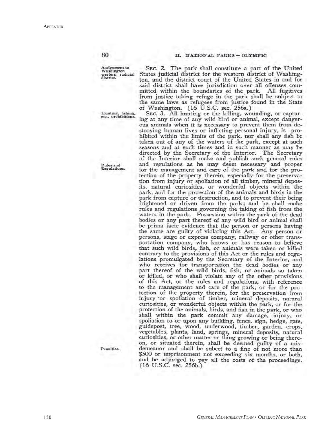II. NATIONAL PARKS-OLYMPIC

Assignment to<br>Washington washington<br>western judicial<br>district.

80

Hunting, fishing,<br>etc., prohibitions.

Rules and<br>Regulations.

Penalties.

SEC. 2. The park shall constitute a part of the United States judicial district for the western district of Washington, and the district court of the United States in and for said district shall have jurisdiction over all offenses committed within the boundaries of the park. All fugitives from justice taking refuge in the park shall be subject to the same laws as refugees from justice found in the State of Washington. (16 U.S.C. sec. 256a.)

SEC. 3. All hunting or the killing, wounding, or capturing at any time of any wild bird or animal, except dangerous animals when it is necessary to prevent them from destroying human lives or inflicting personal injury, is prohibited within the limits of the park, nor shall any fish be taken out of any of the waters of the park, except at such seasons and at such times and in such manner as may be directed by the Secretary of the Interior. The Secretary of the Interior shall make and publish such general rules and regulations as he may deem necessary and proper for the management and care of the park and for the protection of the property therein, especially for the preservation from injury or spoliation of all timber, mineral deposits, natural curiosities, or wonderful objects within the park, and for the protection of the animals and birds in the park from capture or destruction, and to prevent their being frightened or driven from the park; and he shall make rules and regulations governing the taking of fish from the waters in the park. Possession within the park of the dead bodies or any part thereof of any wild bird or animal shall be prima facie evidence that the person or persons having the same are guilty of violating this Act. Any person or persons, stage or express company, railway or other transportation company, who knows or has reason to believe that such wild birds, fish, or animals were taken or killed contrary to the provisions of this Act or the rules and regulations promulgated by the Secretary of the Interior, and who receives for transportation the dead bodies or any part thereof of the wild birds, fish, or animals so taken or killed, or who shall violate any of the other provisions of this Act, or the rules and regulations, with reference to the management and care of the park, or for the protection of the property therein, for the preservation from<br>injury or spoliation of timber, mineral deposits, natural curiosities, or wonderful objects within the park, or for the protection of the animals, birds, and fish in the park, or who shall within the park commit any damage, injury, or spoliation to or upon any building, fence, sign, hedge, gate, guidepost, tree, wood, underwood, timber, garden, crops, vegetables, plants, land, springs, mineral deposits, natural curiosities, or other matter or thing growing or being thereon, or situated therein, shall be deemed guilty of a misdemeanor and shall be subect to a fine of not more than \$500 or imprisonment not exceeding six months, or both, and be adjudged to pay all the costs of the proceedings.  $(16 \text{ U.S.C. sec. } 256b.)$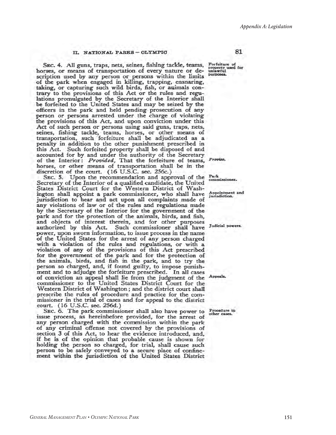#### II. NATIONAL PARKS-OLYMPIC

SEC. 4. All guns, traps, nets, seines, fishing tackle, teams, Forfeiture of property used for property used for horses, or means of transportation of every nature or description used by any person or persons within the limits of the park when engaged in killing, trapping, ensnaring, taking, or capturing such wild birds, fish, or animals contrary to the provisions of this Act or the rules and regulations promulgated by the Secretary of the Interior shall<br>be forfeited to the United States and may be seized by the officers in the park and held pending prosecution of any person or persons arrested under the charge of violating the provisions of this Act, and upon conviction under this Act of such person or persons using said guns, traps, nets, seines, fishing tackle, teams, horses, or other means of transportation, such forfeiture shall be adjudicated as a penalty in addition to the other punishment prescribed in this Act. Such forfeited property shall be disposed of and accounted for by and under the authority of the Secretary of the Interior: Provided, That the forfeiture of teams, Proviso, horses, or other means of transportation shall be in the discretion of the court. (16 U.S.C. sec. 256c.)

SEC. 5. Upon the recommendation and approval of the Secretary of the Interior of a qualified candidate, the United<br>States District Court for the Western District of Washington shall appoint a park commissioner, who shall have jurisdiction to hear and act upon all complaints made of any violations of law or of the rules and regulations made by the Secretary of the Interior for the government of the park and for the protection of the animals, birds, and fish, and objects of interest therein, and for other purposes authorized by this Act. Such commissioner shall have power, upon sworn information, to issue process in the name of the United States for the arrest of any person charged with a violation of the rules and regulations, or with a violation of any of the provisions of this Act prescribed for the government of the park and for the protection of the animals, birds, and fish in the park, and to try the person so charged, and, if found guilty, to impose punishment and to adjudge the forfeiture prescribed. In all cases of conviction an appeal shall lie from the judgment of the Appeals. commissioner to the United States District Court for the Western District of Washington; and the district court shall prescribe the rules of procedure and practice for the commissioner in the trial of cases and for appeal to the district court. (16 U.S.C. sec. 256d.)

SEC. 6. The park commissioner shall also have power to issue process, as hereinbefore provided, for the arrest of any person charged with the commission within the park of any criminal offense not covered by the provisions of section 3 of this Act, to hear the evidence introduced, and, if he is of the opinion that probable cause is shown for holding the person so charged, for trial, shall cause such person to be safely conveyed to a secure place of confinement within the jurisdiction of the United States District

purposes.

81

Park commissioner.

Appointment and<br>jurisdiction.

Judicial powers.

Procedure in<br>other cases.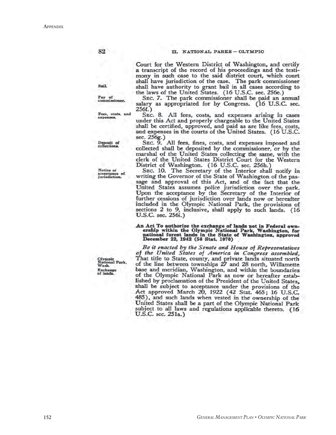Court for the Western District of Washington, and certify a transcript of the record of his proceedings and the testimony in such case to the said district court, which court shall have jurisdiction of the case. The park commissioner<br>shall have authority to grant bail in all cases according to<br>the laws of the United States. (16 U.S.C. sec. 256e.)

SEC. 7. The park commissioner shall be paid an annual salary as appropriated for by Congress. (16 U.S.C. sec. 256f.)

SEC. 8. All fees, costs, and expenses arising in cases under this Act and properly chargeable to the United States shall be certified, approved, and paid as are like fees, costs, and expenses in the courts of the United States. (16 U.S.C. sec. 256g.)

SEC. 9. All fees, fines, costs, and expenses imposed and collected shall be deposited by the commissioner, or by the marshal of the United States collecting the same, with the clerk of the United States District Court for the Western

District of Washington. (16 U.S.C. sec. 256h.)<br>Sec. 10. The Secretary of the Interior shall notify in<br>writing the Governor of the State of Washington of the passage and approval of this Act, and of the fact that the United States assumes police jurisdiction over the park. Upon the acceptance by the Secretary of the Interior of further cessions of jurisdiction over lands now or hereafter included in the Olympic National Park, the provisions of sections 2 to 9, inclusive, shall apply to such lands. (16 U.S.C. sec. 256i.)

An Act To authorize the exchange of lands not in Federal own-<br>ership within the Olympic National Park, Washington, for<br>national forest lands in the State of Washington, approved<br>December 22, 1942 (56 Stat. 1070)

Be it enacted by the Senate and House of Representatives of the United States of America in Congress assembled, That title to State, county, and private lands situated north<br>of the line between townships 27 and 28 north, Willamette<br>base and meridian, Washington, and within the boundaries of the Olympic National Park as now or hereafter established by proclamation of the President of the United States, shall be subject to acceptance under the provisions of the Act approved March 20, 1922 (42 Stat. 465; 16 U.S.C. 485), and such lands when vested in the ownership of the United States shall be a part of the Olympic National Park subject to all laws and regulations applicable thereto. (16 U.S.C. sec. 251a.)

Bail.

82

Pay of<br>commissioner.

Fees, costs, and<br>expenses.

Deposit of<br>collections.

Notice of acceptance of<br>jurisdiction.

Olympic<br>National Park,<br>Wash. Exchange<br>of lands.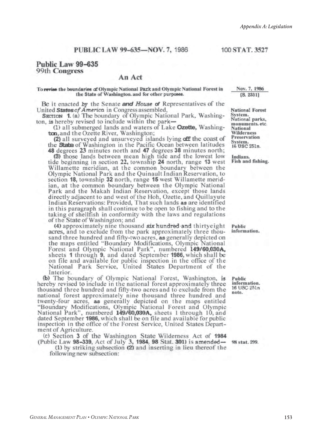#### 100 STAT, 3527

#### Public Law 99-635 99th Congress

#### An Act

#### To revise the boundaries of Olympic National Park and Olympic National Forest in the State of Washington. and for other purposes.

Be it enacted by the Senate and House of Representatives of the

United States of America in Congress assembled,<br>SECTION 1. (a) The boundary of Olympic National Park, Washington, is hereby revised to include within the park-

(1) all submerged lands and waters of Lake Ozette, Washington, and the Ozette River, Washington;

(2) all surveyed and unsurveyed islands lying off the coast of the State of Washington in the Pacific Ocean between latitudes 48 degrees 23 minutes north and 47 degrees 38 minutes north;

(3) those lands between mean high tide and the lowest low tide beginning in section 22, township 24 north, range 13 west Willamette meridian, at the common boundary between the Olympic National Park and the Quinault Indian Reservation, to section 18, township 32 north, range 15 west Willamette meridian, at the common boundary between the Olympic National Park and the Makah Indian Reservation, except those lands directly adjacent to and west of the Hoh, Ozette, and Quillayute Indian Reservations: Provided, That such lands as are identified in this paragraph shall continue to be open to fishing and to the taking of shellfish in conformity with the laws and regulations of the State of Washington; and

(4) approximately nine thousand six hundred and thirtyeight acres, and to exclude from the park approximately three thousand three hundred and fifty-two acres, as generally depicted on the maps entitled "Boundary Modifications, Olympic National Forest and Olympic National Park", numbered 149/60,030A, sheets 1 through 9, and dated September 1986, which shall be on file and available for public inspection in the office of the<br>National Park Service, United States Department of the Interior.

(b) The boundary of Olympic National Forest, Washington, is hereby revised to include in the national forest approximately three thousand three hundred and fifty-two acres and to exclude from the national forest approximately nine thousand three hundred and twenty-four acres, as generally depicted on the maps entitled "Boundary Modifications, Olympic National Forest and Olympic National Park", numbered 149/60,030A, sheets 1 through 10, and dated September 1986, which shall be on file and available for public inspection in the office of the Forest Service, United States Department of Agriculture.

(c) Section 3 of the Washington State Wilderness Act of 1984 (Public Law 98-339, Act of July 3, 1984, 98 Stat. 301) is amended—

(1) by striking subsection (2) and inserting in lieu thereof the following new subsection:

Nov. 7, 1986  $[S. 2351]$ 

**National Forest** System.<br>National parks, monuments, etc. National Wilderness Preservation System.<br>16 USC 251n.

Indians. Fish and fishing.

Public information.

Public information. 16 USC 251n note.

98 stat. 299.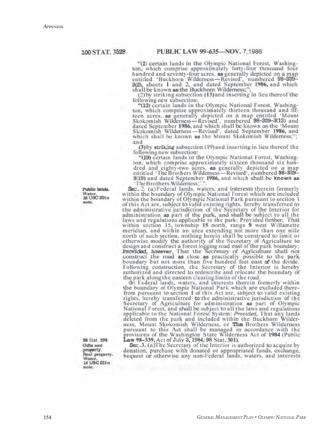"(2) certain lands in the Olympic National Forest, Washington, which comprise approximately forty-four thousand four hundred and seventy-four acres, as generally depicted on a map antitled 'Buckhorn Wildemess—Revised', numbered 98-339-<br>3(2), sheets 1 and 2, and dated September 1986, and which<br>shall be known as the Buckhorn Wildemess;";<br>(2) by striking subsection (13) and inserting in lieu thereof th

following new subsection:

"(13) certain lands in the Olympic National Forest, Washington, which comprise approximately thirteen thousand and fifteen acres, as generally depicted on a map entitled 'Mount Skokomish Wilderness-Revised', numbered 98-339-3(13) and dated September 1986, and which shall be known as the 'Mount Skokomish Wilderness-Revised', dated September 1986, and which shall be known as the Mount Skokomish Wilderness;"; and

(3) by striking subsection (19) and inserting in lieu thereof the following new subsection:

"(19) certain lands in the Olympic National Forest, Washington, which comprise approximately sixteen thousand six hundred and eighty-two acres, as generally depicted on a map entitled 'The Brothers Wilderness-Revised', numbered 98-339-3(19) and dated September 1986, and which shall be known as 'The Brothers Wilderness;'.'

SEC. 2. (a) Federal lands, waters, and interests therein formerly within the boundary of Olympic National Forest which are included within the boundary of Olympic National Park pursuant to section 1 of this Act are, subject to valid existing rights, hereby transferred to the administrative jurisdiction of the Secretary of the Interior for administration as part of the park, and shall be subject to all the laws and regulations applicable to the park: Provided further, That within section 15, township 15 north, range 9 west Willamette meridian, and within an area extending not more than one mile north of such section, nothing herein shall be construed to limit or otherwise modify the authority of the Secretary of Agriculture to design and construct a forest logging road east of the park boundary:<br>**Provided**, however, That the Secretary of Agriculture shall not construct the road as boundary but not more than five hundred feet east of the divide. Following construction, the Secretary of the Interior is hereby authorized and directed to redescribe and relocate the boundary of the park along the eastern clearing limits of the road.

(b) Federal lands, waters, and interests therein formerly within the boundary of Olympic National Park which are excluded there-<br>from pursuant to section 1 of this Act are, subject to valid existing<br>rights, hereby transferred to the administrative jurisdiction of the<br>Secretary of Agricu National Forest, and shall be subject to all the laws and regulations applicable to the National Forest System: Provided, That any lands deleted from the park and included within the Buckhorn Wilderness, Mount Skokomish Wilderness, or The Brothers Wilderness pursuant to this Act shall be managed in accordance with the provisions of the Washington State Wilderness Act of 1984 (Public Law 98-339, Act of July 3, 1984, 98 Stat. 301).

SEC.3. (a)The Secretary of the Interior is authorized to acquire by donation, purchase with donated or appropriated funds, exchange, bequest or otherwise any non-Federal lands, waters, and interests

Public lands. **Water** 16 USC 251n note.

98 Stat. 299. Gifts and property.<br>Real property. Water 16 USC 251n note.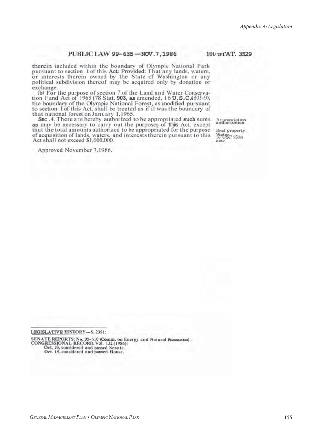#### PUBLIC LAW 99-635-NOV.7,1986

therein included within the boundary of Olympic National Park pursuant to section 1 of this Act: Provided: That any lands, waters, or interests therein owned by the State of Washington or any political subdivision thereof may be acquired only by donation or exchange.

(b) For the purpose of section 7 of the Land and Water Conservation Fund Act of 1965 (78 Stat. 903, as amended, 16 U.S.C460l-9), the boundary of the Olympic National Forest, as modified pursuant to section 1 of this Act, shall be treated as if it was the boundary of that national forest on January 1,1965.

SEC.4. There are hereby authorized to be appropriated such sums as may be necessary to carry out the purposes of this Act, except that the total amounts authorized to be appropriated for the purpose of acquisition of lands, waters, and interests therein pursuant to this Act shall not exceed \$1,000,000.

Approved November 7.1986.

Arpropriation.

100 of AT. 3529

Real property WWSC 251n note

LEGISLATIVE HISTORY-S. 2351:

SENATE REPORTS: No. 99-510 (Comm. on Energy and Natural Resources).<br>CONGRESSIONAL, RECORD, Vol. 132 (1986): Oct. 10, considered and passed Senate.<br>Oct. 15, considered and passed House.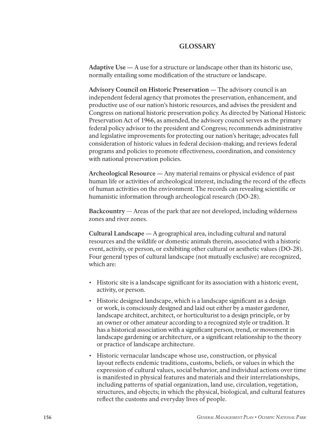#### **GLOSSARY**

**Adaptive Use —** A use for a structure or landscape other than its historic use, normally entailing some modification of the structure or landscape.

**Advisory Council on Historic Preservation —** The advisory council is an independent federal agency that promotes the preservation, enhancement, and productive use of our nation's historic resources, and advises the president and Congress on national historic preservation policy. As directed by National Historic Preservation Act of 1966, as amended, the advisory council serves as the primary federal policy advisor to the president and Congress; recommends administrative and legislative improvements for protecting our nation's heritage; advocates full consideration of historic values in federal decision-making; and reviews federal programs and policies to promote effectiveness, coordination, and consistency with national preservation policies.

Archeological Resource — Any material remains or physical evidence of past human life or activities of archeological interest, including the record of the effects of human activities on the environment. The records can revealing scientific or humanistic information through archeological research (DO-28).

**Backcountry** — Areas of the park that are not developed, including wilderness zones and river zones.

**Cultural Landscape** — A geographical area, including cultural and natural resources and the wildlife or domestic animals therein, associated with a historic event, activity, or person, or exhibiting other cultural or aesthetic values (DO-28). Four general types of cultural landscape (not mutually exclusive) are recognized, which are:

- Historic site is a landscape significant for its association with a historic event, activity, or person.
- Historic designed landscape, which is a landscape significant as a design or work, is consciously designed and laid out either by a master gardener, landscape architect, architect, or horticulturist to a design principle, or by an owner or other amateur according to a recognized style or tradition. It has a historical association with a significant person, trend, or movement in landscape gardening or architecture, or a significant relationship to the theory or practice of landscape architecture.
- Historic vernacular landscape whose use, construction, or physical layout reflects endemic traditions, customs, beliefs, or values in which the expression of cultural values, social behavior, and individual actions over time is manifested in physical features and materials and their interrelationships, including patterns of spatial organization, land use, circulation, vegetation, structu res, and objects; in which the physical, biological, and cultural features reflect the customs and everyday lives of people.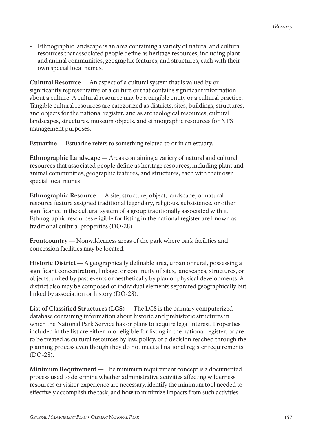• Ethnographic landscape is an area containing a variety of natural and cultural resources that associated people define as heritage resources, including plant and animal communities, geographic features, and structures, each with their own special local names.

Cultural Resource — An aspect of a cultural system that is valued by or significantly representative of a culture or that contains significant information about a culture. A cultural resource may be a tangible entity or a cultural practice. Tangible cultural resources are categorized as districts, sites, buildings, structures, and objects for the national register; and as archeological resources, cultural landscapes, structures, museum objects, and ethnographic resources for NPS management purposes.

**Estuarine —** Estuarine refers to something related to or in an estuary.

**Ethnographic Landscape —** Areas containing a variety of natural and cultural resources that associated people define as heritage resources, including plant and animal communities, geographic features, and structures, each with their own special local names.

**Ethnographic Resource** — A site, structure, object, landscape, or natural resource feature assigned traditional legendary, religious, subsistence, or other significance in the cultural system of a group traditionally associated with it. Ethnographic resources eligible for listing in the national register are known as traditional cultural properties (DO-28).

**Frontcountry** — Nonwilderness areas of the park where park facilities and concession facilities may be located.

**Historic District** — A geographically definable area, urban or rural, possessing a significant concentration, linkage, or continuity of sites, landscapes, structures, or objects, united by past events or aesthetically by plan or physical developments. A district also may be composed of individual elements separated geographically but linked by association or history (DO-28).

List of Classified Structures (LCS) — The LCS is the primary computerized database containing information about historic and prehistoric structures in which the National Park Service has or plans to acquire legal interest. Properties included in the list are either in or eligible for listing in the national register, or are to be treated as cultural resources by law, policy, or a decision reached through the planning process even though they do not meet all national register requirements (DO-28).

**Minimum Requirement —** The minimum requirement concept is a documented process used to determine whether administrative activities affecting wilderness resources or visitor experience are necessary, identify the minimum tool needed to effectively accomplish the task, and how to minimize impacts from such activities.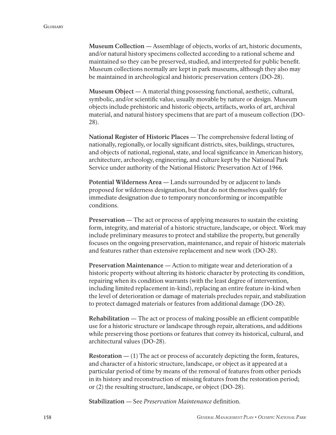**Museum Collection —** Assemblage of objects, works of art, historic documents, and/or natural history specimens collected according to a rational scheme and maintained so they can be preserved, studied, and interpreted for public benefit. Museum collections normally are kept in park museums, although they also may be maintained in archeological and historic preservation centers (DO-28).

**Museum Object —** A material thing possessing functional, aesthetic, cultural, symbolic, and/or scientific value, usually movable by nature or design. Museum objects include prehistoric and historic objects, artifacts, works of art, archival material, and natural history specimens that are part of a museum collection (DO-28).

National Register of Historic Places — The comprehensive federal listing of nationally, regionally, or locally significant districts, sites, buildings, structures, and objects of national, regional, state, and local significance in American history, architecture, archeology, engineering, and culture kept by the National Park Service under authority of the National Historic Preservation Act of 1966.

Potential Wilderness Area — Lands surrounded by or adjacent to lands proposed for wilderness designation, but that do not themselves qualify for immediate designation due to temporary nonconforming or incompatible conditions.

**Preservation —** The act or process of applying measures to sustain the existing form, integrity, and material of a historic structure, landscape, or object. Work may include preliminary measures to protect and stabilize the property, but generally focuses on the ongoing preservation, maintenance, and repair of historic materials and features rather than extensive replacement and new work (DO-28).

**Preservation Maintenance —** Action to mitigate wear and deterioration of a historic property without altering its historic character by protecting its condition, repairing when its condition warrants (with the least degree of intervention, including limited replacement in-kind), replacing an entire feature in-kind when the level of deterioration or damage of materials precludes repair, and stabilization to protect damaged materials or features from additional damage (DO-28).

**Rehabilitation** — The act or process of making possible an efficient compatible use for a historic structure or landscape through repair, alterations, and additions while preserving those portions or features that convey its historical, cultural, and architectural values (DO-28).

**Restoration — (1)** The act or process of accurately depicting the form, features, and character of a historic structure, landscape, or object as it appeared at a particular period of time by means of the removal of features from other periods in its history and reconstruction of missing features from the restoration period; or (2) the resulting structure, landscape, or object (DO-28).

**Stabilization** — See *Preservation Maintenance* definition.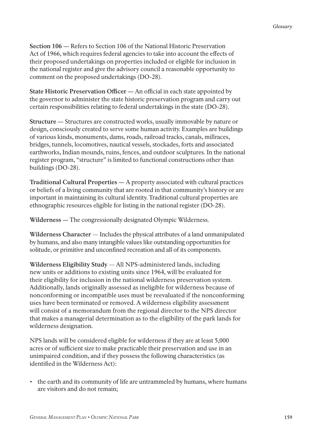**Section 106 —** Refers to Section 106 of the National Historic Preservation Act of 1966, which requires federal agencies to take into account the effects of their proposed undertakings on properties included or eligible for inclusion in the national register and give the advisory council a reasonable opportunity to comment on the proposed undertakings (DO-28).

**State Historic Preservation Officer** — An official in each state appointed by the governor to administer the state historic preservation program and carry out certain responsibilities relating to federal undertakings in the state (DO-28).

**Structure —** Structures are constructed works, usually immovable by nature or design, consciously created to serve some human activity. Examples are buildings of various kinds, monuments, dams, roads, railroad tracks, canals, millraces, bridges, tunnels, locomotives, nautical vessels, stockades, forts and associated earthworks, Indian mounds, ruins, fences, and outdoor sculptures. In the national register program, "structure" is limited to functional constructions other than buildings (DO-28).

**Traditional Cultural Properties —** A property associated with cultural practices or beliefs of a living community that are rooted in that community's history or are important in maintaining its cultural identity. Traditional cultural properties are ethnographic resources eligible for listing in the national register (DO-28).

**Wilderness** — The congressionally designated Olympic Wilderness.

**Wilderness Character** — Includes the physical attributes of a land unmanipulated by humans, and also many intangible values like outstanding opportunities for solitude, or primitive and unconfined recreation and all of its components.

**Wilderness Eligibility Study** — All NPS-administered lands, including new units or additions to existing units since 1964, will be evaluated for their eligibility for inclusion in the national wilderness preservation system. Additionally, lands originally assessed as ineligible for wilderness because of nonconforming or incompatible uses must be reevaluated if the nonconforming uses have been terminated or removed. A wilderness eligibility assessment will consist of a memorandum from the regional director to the NPS director that makes a managerial determination as to the eligibility of the park lands for wilderness designation.

NPS lands will be considered eligible for wilderness if they are at least 5,000 acres or of sufficient size to make practicable their preservation and use in an unimpaired condition, and if they possess the following characteristics (as identified in the Wilderness Act):

• the earth and its community of life are untrammeled by humans, where humans are visitors and do not remain;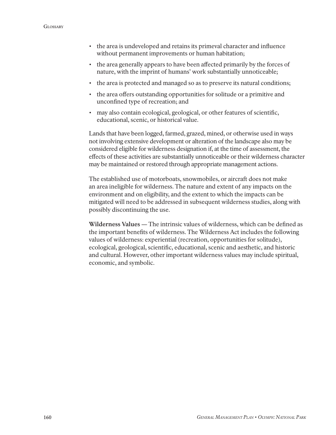- the area is undeveloped and retains its primeval character and influence without permanent improvements or human habitation;
- the area generally appears to have been affected primarily by the forces of nature, with the imprint of humans' work substantially unnoticeable;
- the area is protected and managed so as to preserve its natural conditions;
- the area offers outstanding opportunities for solitude or a primitive and unconfined type of recreation; and
- may also contain ecological, geological, or other features of scientific, educational, scenic, or historical value.

Lands that have been logged, farmed, grazed, mined, or otherwise used in ways not involving extensive development or alteration of the landscape also may be considered eligible for wilderness designation if, at the time of assessment, the effects of these activities are substantially unnoticeable or their wilderness character may be maintained or restored through appropriate management actions.

The established use of motorboats, snowmobiles, or aircraft does not make an area ineligible for wilderness. The nature and extent of any impacts on the environment and on eligibility, and the extent to which the impacts can be mitigated will need to be addressed in subsequent wilderness studies, along with possibly discontinuing the use.

**Wilderness Values** — The intrinsic values of wilderness, which can be defined as the important benefits of wilderness. The Wilderness Act includes the following values of wilderness: experiential (recreation, opportunities for solitude), ecological, geological, scientific, educational, scenic and aesthetic, and historic and cultural. However, other important wilderness values may include spiritual, economic, and symbolic.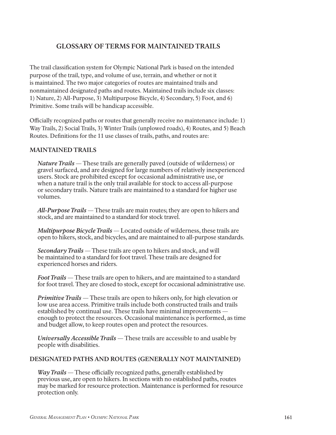#### **GLOSSARY OF TERMS FOR MAINTAINED TRAILS**

The trail classification system for Olympic National Park is based on the intended purpose of the trail, type, and volume of use, terrain, and whether or not it is maintained. The two major categories of routes are maintained trails and nonmaintained designated paths and routes. Maintained trails include six classes: 1) Nature, 2) All-Purpose, 3) Multipurpose Bicycle, 4) Secondary, 5) Foot, and 6) Primitive. Some trails will be handicap accessible.

Officially recognized paths or routes that generally receive no maintenance include: 1) Way Trails , 2) Social Trails , 3) Winter Trails (unplowed roads), 4) Routes, and 5) Beach Routes. Definitions for the 11 use classes of trails, paths, and routes are:

#### **MAINTAINED TRAILS**

*Nature Trails* — These trails are generally paved (outside of wilderness) or gravel surfaced, and are designed for large numbers of relatively inexperienced users. Stock are prohibited except for occasional administrative use, or when a nature trail is the only trail available for stock to access all-purpose or secondary trails. Nature trails are maintained to a standard for higher use volumes.

*All-Purpose Trails* — These trails are main routes ; they are open to hikers and stock, and are maintained to a standard for stock travel.

*Multipurpose Bicycle Trails* — Located outside of wilderness, these trails are open to hikers, stock, and bicycles, and are maintained to all-purpose standards.

*Secondary Trails* — These trails are open to hikers and stock, and will be maintained to a standard for foot travel. These trails are designed for experienced horses and riders.

*Foot Trails* — These trails are open to hikers, and are maintained to a standard for foot travel. They are closed to stock, except for occasional administrative use.

*Primitive Trails* — These trails are open to hikers only, for high elevation or low use area access. Primitive trails include both constructed trails and trails established by continual use. These trails have minimal improvements enough to protect the resources. Occasional maintenance is performed, as time and budget allow, to keep routes open and protect the resources.

*Universally Accessible Trails* — These trails are accessible to and usable by people with disabilities .

#### **DESIGNATED PATHS AND ROUTES (GENERALLY NOT MAINTAINED)**

*Way Trails* — These officially recognized paths, generally established by previous use, are open to hikers. In sections with no established paths, routes may be marked for resource protection. Maintenance is performed for resource protection only.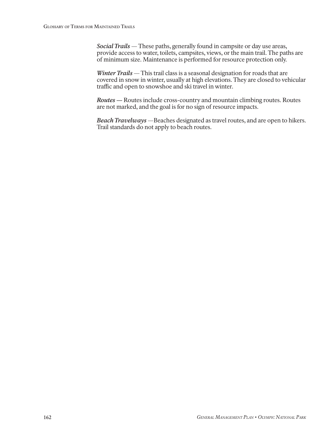*Social Trails* — These paths, generally found in campsite or day use areas, provide access to water, toilets, campsites, views, or the main trail. The paths are of minimum size. Maintenance is performed for resource protection only.

*Winter Trails* — This trail class is a seasonal designation for roads that are covered in snow in winter, usually at high elevations. They are closed to vehicular traffic and open to snowshoe and ski travel in winter.

 *Routes —* Routes include cross-country and mountain climbing routes. Routes are not marked, and the goal is for no sign of resource impacts.

*Beach Travelways* - Beaches designated as travel routes, and are open to hikers. Trail standards do not apply to beach routes.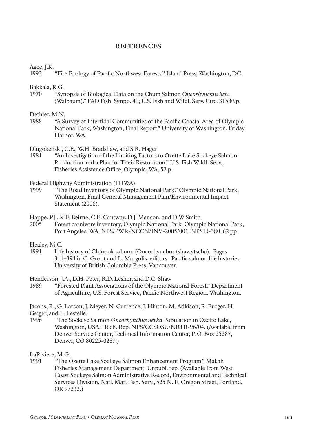#### **REFERENCES**

Agee, J.K.

1993 "Fire Ecology of Pacific Northwest Forests." Island Press. Washington, DC.

Bakkala, R.G.<br>1970 "Svr

1970 "Synopsis of Biological Data on the Chum Salmon *Oncorhynchus keta* (Walbaum)." FAO Fish. Synpo. 41; U.S. Fish and Wildl. Serv. Circ. 315:89p.

#### Dethier, M.N.

1988 "A Survey of Intertidal Communities of the Pacific Coastal Area of Olympic National Park, Washington, Final Report." University of Washington, Friday Harbor, WA.

Dlugokenski, C.E., W.H. Bradshaw, and S.R. Hager

1981 "An Investigation of the Limiting Factors to Ozette Lake Sockeye Salmon Production and a Plan for Their Restoration." U.S. Fish Wildl. Serv., Fisheries Assistance Office, Olympia, WA, 52 p.

Federal Highway Administration (FHWA)

1999 "The Road Inventory of Olympic National Park." Olympic National Park, Washington. Final General Management Plan/Environmental Impact Statement (2008).

Happe, P.J., K.F. Beirne, C.E. Cantway, D.J. Manson, and D.W Smith.<br>2005 Forest carnivore inventory. Olympic National Park. Olympi

2005 Forest carnivore inventory, Olympic National Park. Olympic National Park, Port Angeles, WA. NPS/PWR-NCCN/INV-2005/001. NPS D-380. 62 pp

Healey, M.C.

1991 Life history of Chinook salmon (Oncorhynchus tshawytscha). Pages 311–394 in C. Groot and L. Margolis, editors. Pacific salmon life histories. University of British Columbia Press, Vancouver.

Henderson, J.A., D.H. Peter, R.D. Lesher, and D.C. Shaw

1989 "Forested Plant Associations of the Olympic National Forest." Department of Agriculture, U.S. Forest Service, Pacific Northwest Region. Washington.

Jacobs, R., G. Larson, J. Meyer, N. Currence, J. Hinton, M. Adkison, R. Burger, H. Geiger, and L. Lestelle.

1996 "The Sockeye Salmon *Oncorhynchus nerka* Population in Ozette Lake, Washington, USA." Tech. Rep. NPS/CCSOSU/NRTR-96/04. (Available from Denver Service Center, Technical Information Center, P. O. Box 25287, Denver, CO 80225-0287.)

LaRiviere, M.G.

1991 "The Ozette Lake Sockeye Salmon Enhancement Program." Makah Fisheries Management Department, Unpubl. rep. (Available from West Coast Sockeye Salmon Administrative Record, Environmental and Technical Services Division, Natl. Mar. Fish. Serv., 525 N. E. Oregon Street, Portland, OR 97232.)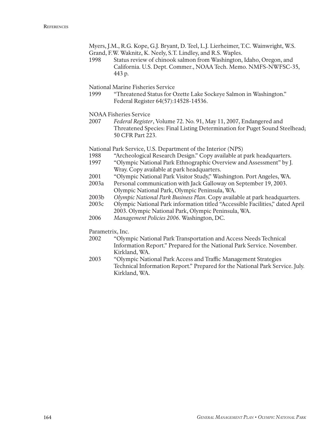Myers, J.M., R.G. Kope, G.J. Bryant, D. Teel, L.J. Lierheimer, T.C. Wainwright, W.S.

- Grand, F.W. Waknitz, K. Neely, S.T. Lindley, and R.S. Waples.
- 1998 Status review of chinook salmon from Washington, Idaho, Oregon, and California. U.S. Dept. Commer., NOAA Tech. Memo. NMFS-NWFSC-35, 443 p.

National Marine Fisheries Service

"Threatened Status for Ozette Lake Sockeye Salmon in Washington." Federal Register 64(57):14528-14536.

NOAA Fisheries Service

2007 *Federal Register*, Volume 72. No. 91, May 11, 2007, Endangered and Threatened Species: Final Listing Determination for Puget Sound Steelhead; 50 CFR Part 223.

National Park Service, U.S. Department of the Interior (NPS)

- 1988 "Archeological Research Design." Copy available at park headquarters.
- 1997 "Olympic National Park Ethnographic Overview and Assessment" by J. Wray. Copy available at park headquarters.
- 2001 "Olympic National Park Visitor Study," Washington. Port Angeles, WA.
- 2003a Personal communication with Jack Galloway on September 19, 2003. Olympic National Park, Olympic Peninsula, WA.
- 2003b *Olympic National Park Business Plan*. Copy available at park headquarters.
- 2003c Olympic National Park information titled "Accessible Facilities," dated April 2003. Olympic National Park, Olympic Peninsula, WA.
- 2006 *Management Policies 2006*. Washington, DC.

Parametrix, Inc.

- 2002 "Olympic National Park Transportation and Access Needs Technical Information Report." Prepared for the National Park Service. November. Kirkland, WA.
- 2003 "Olympic National Park Access and Traffic Management Strategies Technical Information Report." Prepared for the National Park Service. July. Kirkland, WA.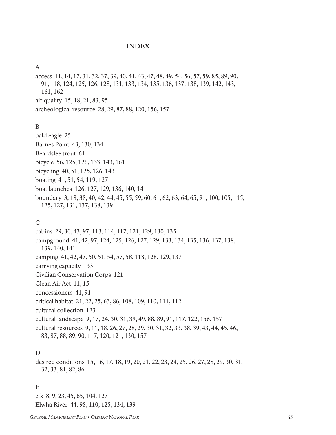#### **INDEX**

#### A

access 11, 14, 17, 31, 32, 37, 39, 40, 41, 43, 47, 48, 49, 54, 56, 57, 59, 85, 89, 90, 91, 118, 124, 125, 126, 128, 131, 133, 134, 135, 136, 137, 138, 139, 142, 143, 161, 162 air quality 15, 18, 21, 83, 95 archeological resource 28, 29, 87, 88, 120, 156, 157

#### B

bald eagle 25 Barnes Point 43, 130, 134 Beardslee trout 61 bicycle 56, 125, 126, 133, 143, 161 bicycling 40, 51, 125, 126, 143 boating 41, 51, 54, 119, 127 boat launches 126, 127, 129, 136, 140, 141 boundary 3, 18, 38, 40, 42, 44, 45, 55, 59, 60, 61, 62, 63, 64, 65, 91, 100, 105, 115, 125, 127, 131, 137, 138, 139

#### C

cabins 29, 30, 43, 97, 113, 114, 117, 121, 129, 130, 135 campground 41, 42, 97, 124, 125, 126, 127, 129, 133, 134, 135, 136, 137, 138, 139, 140, 141 camping 41, 42, 47, 50, 51, 54, 57, 58, 118, 128, 129, 137 carrying capacity 133 Civilian Conservation Corps 121 Clean Air Act 11, 15 concessioners 41, 91 critical habitat 21, 22, 25, 63, 86, 108, 109, 110, 111, 112 cultural collection 123 cultural landscape 9, 17, 24, 30, 31, 39, 49, 88, 89, 91, 117, 122, 156, 157 cultural resources 9, 11, 18, 26, 27, 28, 29, 30, 31, 32, 33, 38, 39, 43, 44, 45, 46, 83, 87, 88, 89, 90, 117, 120, 121, 130, 157

#### D

desired conditions 15, 16, 17, 18, 19, 20, 21, 22, 23, 24, 25, 26, 27, 28, 29, 30, 31, 32, 33, 81, 82, 86

#### E

elk 8, 9, 23, 45, 65, 104, 127 Elwha River 44, 98, 110, 125, 134, 139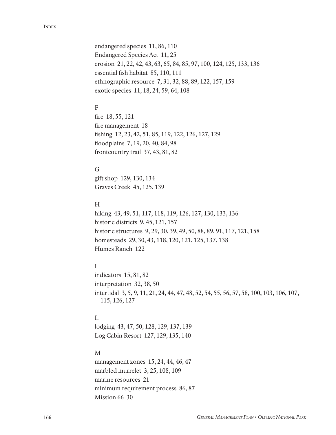endangered species 11, 86, 110 Endangered Species Act 11, 25 erosion 21, 22, 42, 43, 63, 65, 84, 85, 97, 100, 124, 125, 133, 136 essential fish habitat 85, 110, 111 ethnographic resource 7, 31, 32, 88, 89, 122, 157, 159 exotic species 11, 18, 24, 59, 64, 108

#### F

fire 18, 55, 121 fire management 18 fishing 12, 23, 42, 51, 85, 119, 122, 126, 127, 129 floodplains 7, 19, 20, 40, 84, 98 frontcountry trail 37, 43, 81, 82

#### G

gift shop 129, 130, 134 Graves Creek 45, 125, 139

#### H

hiking 43, 49, 51, 117, 118, 119, 126, 127, 130, 133, 136 historic districts 9, 45, 121, 157 historic structures 9, 29, 30, 39, 49, 50, 88, 89, 91, 117, 121, 158 homesteads 29, 30, 43, 118, 120, 121, 125, 137, 138 Humes Ranch 122

#### I

indicators 15, 81, 82 interpretation 32, 38, 50 intertidal 3, 5, 9, 11, 21, 24, 44, 47, 48, 52, 54, 55, 56, 57, 58, 100, 103, 106, 107, 115, 126, 127

#### L

lodging 43, 47, 50, 128, 129, 137, 139 Log Cabin Resort 127, 129, 135, 140

#### M

management zones 15, 24, 44, 46, 47 marbled murrelet 3, 25, 108, 109 marine resources 21 minimum requirement process 86, 87 Mission 66 30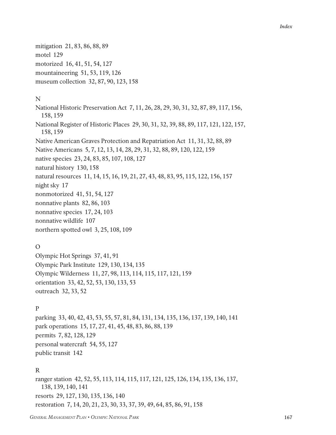mitigation 21, 83, 86, 88, 89 motel 129 motorized 16, 41, 51, 54, 127 mountaineering 51, 53, 119, 126 museum collection 32, 87, 90, 123, 158

#### N

National Historic Preservation Act 7, 11, 26, 28, 29, 30, 31, 32, 87, 89, 117, 156, 158, 159 National Register of Historic Places 29, 30, 31, 32, 39, 88, 89, 117, 121, 122, 157, 158, 159 Native American Graves Protection and Repatriation Act 11, 31, 32, 88, 89 Native Americans 5, 7, 12, 13, 14, 28, 29, 31, 32, 88, 89, 120, 122, 159 native species 23, 24, 83, 85, 107, 108, 127 natural history 130, 158 natural resources 11, 14, 15, 16, 19, 21, 27, 43, 48, 83, 95, 115, 122, 156, 157 night sky 17 nonmotorized 41, 51, 54, 127 nonnative plants 82, 86, 103 nonnative species 17, 24, 103 nonnative wildlife 107 northern spotted owl 3, 25, 108, 109

#### O

Olympic Hot Springs 37, 41, 91 Olympic Park Institute 129, 130, 134, 135 Olympic Wilderness 11, 27, 98, 113, 114, 115, 117, 121, 159 orientation 33, 42, 52, 53, 130, 133, 53 outreach 32, 33, 52

#### P

parking 33, 40, 42, 43, 53, 55, 57, 81, 84, 131, 134, 135, 136, 137, 139, 140, 141 park operations 15, 17, 27, 41, 45, 48, 83, 86, 88, 139 permits 7, 82, 128, 129 personal watercraft 54, 55, 127 public transit 142

#### R

ranger station 42, 52, 55, 113, 114, 115, 117, 121, 125, 126, 134, 135, 136, 137, 138, 139, 140, 141 resorts 29, 127, 130, 135, 136, 140 restoration 7, 14, 20, 21, 23, 30, 33, 37, 39, 49, 64, 85, 86, 91, 158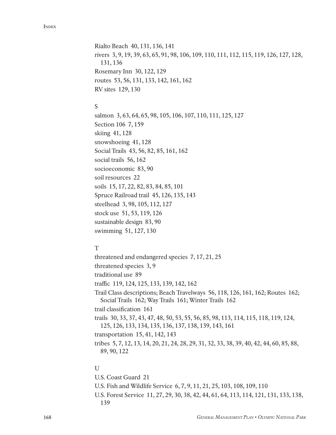Rialto Beach 40, 131, 136, 141 rivers 3, 9, 19, 39, 63, 65, 91, 98, 106, 109, 110, 111, 112, 115, 119, 126, 127, 128, 131, 136 Rosemary Inn 30, 122, 129 routes 53, 56, 131, 133, 142, 161, 162 RV sites 129, 130

#### S

salmon 3, 63, 64, 65, 98, 105, 106, 107, 110, 111, 125, 127 Section 106 7, 159 skiing 41, 128 snowshoeing 41, 128 Social Trails 43, 56, 82, 85, 161, 162 social trails 56, 162 socioeconomic 83, 90 soil resources 22 soils 15, 17, 22, 82, 83, 84, 85, 101 Spruce Railroad trail 45, 126, 135, 143 steelhead 3, 98, 105, 112, 127 stock use 51, 53, 119, 126 sustainable design 83, 90 swimming 51, 127, 130

#### T

threatened and endangered species 7, 17, 21, 25 threatened species 3, 9 traditional use 89 traffic 119, 124, 125, 133, 139, 142, 162 Trail Class descriptions; Beach Travelways 56, 118, 126, 161, 162; Routes 162; Social Trails 162; Way Trails 161; Winter Trails 162 trail classification 161 trails 30, 33, 37, 43, 47, 48, 50, 53, 55, 56, 85, 98, 113, 114, 115, 118, 119, 124, 125, 126, 133, 134, 135, 136, 137, 138, 139, 143, 161 transportation 15, 41, 142, 143 tribes 5, 7, 12, 13, 14, 20, 21, 24, 28, 29, 31, 32, 33, 38, 39, 40, 42, 44, 60, 85, 88, 89, 90, 122

#### U

U.S. Coast Guard 21 U.S. Fish and Wildlife Service 6, 7, 9, 11, 21, 25, 103, 108, 109, 110 U.S. Forest Service 11, 27, 29, 30, 38, 42, 44, 61, 64, 113, 114, 121, 131, 133, 138, 139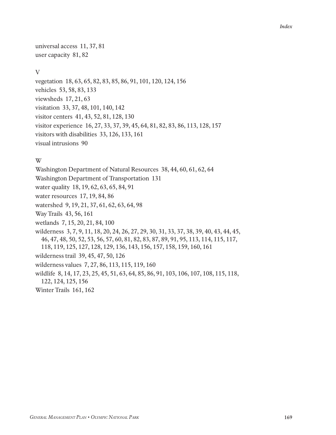universal access 11, 37, 81 user capacity 81, 82

#### V

vegetation 18, 63, 65, 82, 83, 85, 86, 91, 101, 120, 124, 156 vehicles 53, 58, 83, 133 viewsheds 17, 21, 63 visitation 33, 37, 48, 101, 140, 142 visitor centers 41, 43, 52, 81, 128, 130 visitor experience 16, 27, 33, 37, 39, 45, 64, 81, 82, 83, 86, 113, 128, 157 visitors with disabilities 33, 126, 133, 161 visual intrusions 90

#### W

Washington Department of Natural Resources 38, 44, 60, 61, 62, 64 Washington Department of Transportation 131 water quality 18, 19, 62, 63, 65, 84, 91 water resources 17, 19, 84, 86 watershed 9, 19, 21, 37, 61, 62, 63, 64, 98 Way Trails 43, 56, 161 wetlands 7, 15, 20, 21, 84, 100 wilderness 3, 7, 9, 11, 18, 20, 24, 26, 27, 29, 30, 31, 33, 37, 38, 39, 40, 43, 44, 45, 46, 47, 48, 50, 52, 53, 56, 57, 60, 81, 82, 83, 87, 89, 91, 95, 113, 114, 115, 117, 118, 119, 125, 127, 128, 129, 136, 143, 156, 157, 158, 159, 160, 161 wilderness trail 39, 45, 47, 50, 126 wilderness values 7, 27, 86, 113, 115, 119, 160 wildlife 8, 14, 17, 23, 25, 45, 51, 63, 64, 85, 86, 91, 103, 106, 107, 108, 115, 118, 122, 124, 125, 156 Winter Trails 161, 162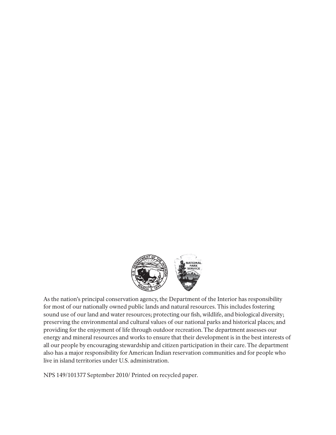

As the nation's principal conservation agency, the Department of the Interior has responsibility for most of our nationally owned public lands and natural resources. This includes fostering sound use of our land and water resources; protecting our fish, wildlife, and biological diversity; preserving the environmental and cultural values of our national parks and historical places; and providing for the enjoyment of life through outdoor recreation. The department assesses our energy and mineral resources and works to ensure that their development is in the best interests of all our people by encouraging stewardship and citizen participation in their care. The department also has a major responsibility for American Indian reservation communities and for people who live in island territories under U.S. administration.

NPS 149/101377 September 2010/ Printed on recycled paper.